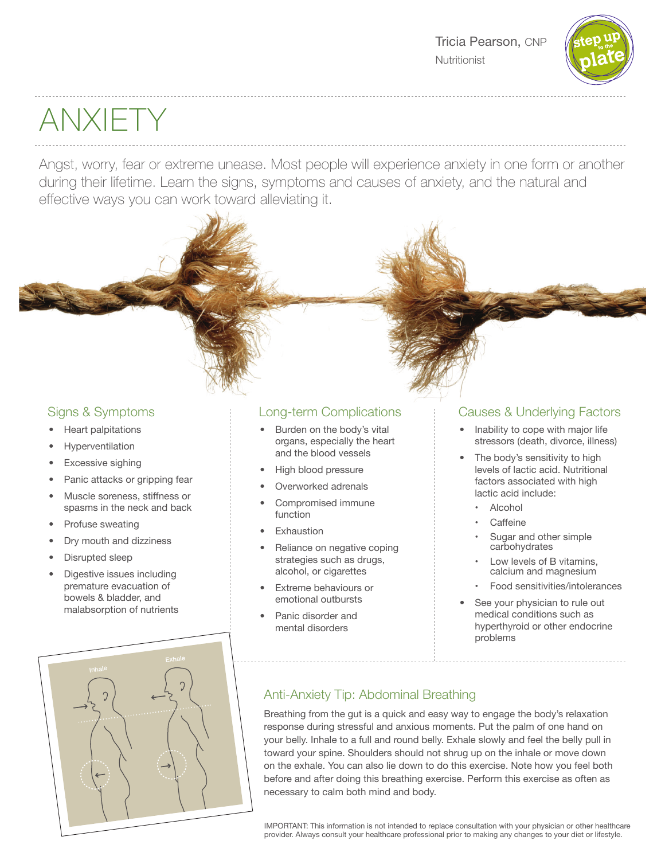

# ANXIETY

Angst, worry, fear or extreme unease. Most people will experience anxiety in one form or another during their lifetime. Learn the signs, symptoms and causes of anxiety, and the natural and effective ways you can work toward alleviating it.

# Signs & Symptoms

- Heart palpitations
- **Hyperventilation**
- Excessive sighing
- Panic attacks or gripping fear
- Muscle soreness, stiffness or spasms in the neck and back
- Profuse sweating
- Dry mouth and dizziness
- Disrupted sleep
- Digestive issues including premature evacuation of bowels & bladder, and malabsorption of nutrients



# Long-term Complications

- Burden on the body's vital organs, especially the heart and the blood vessels
- High blood pressure
- Overworked adrenals
- Compromised immune function
- **Exhaustion**
- Reliance on negative coping strategies such as drugs, alcohol, or cigarettes
- Extreme behaviours or emotional outbursts
- Panic disorder and mental disorders

# Causes & Underlying Factors

- Inability to cope with major life stressors (death, divorce, illness)
- The body's sensitivity to high levels of lactic acid. Nutritional factors associated with high lactic acid include:
	- Alcohol
	- Caffeine
	- Sugar and other simple carbohydrates
	- Low levels of B vitamins, calcium and magnesium
	- Food sensitivities/intolerances
- See your physician to rule out medical conditions such as hyperthyroid or other endocrine problems

# Anti-Anxiety Tip: Abdominal Breathing

Breathing from the gut is a quick and easy way to engage the body's relaxation response during stressful and anxious moments. Put the palm of one hand on your belly. Inhale to a full and round belly. Exhale slowly and feel the belly pull in toward your spine. Shoulders should not shrug up on the inhale or move down on the exhale. You can also lie down to do this exercise. Note how you feel both before and after doing this breathing exercise. Perform this exercise as often as necessary to calm both mind and body.

IMPORTANT: This information is not intended to replace consultation with your physician or other healthcare provider. Always consult your healthcare professional prior to making any changes to your diet or lifestyle.